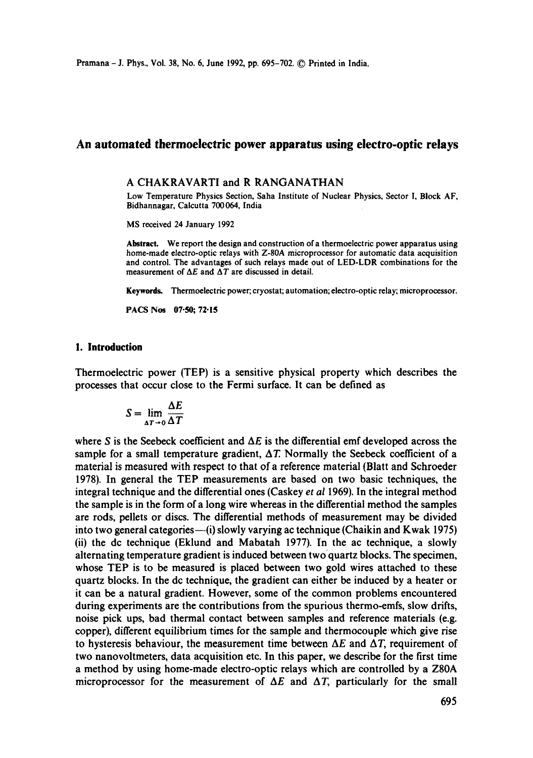Pramana - J. Phys., Vol. 38, No. 6, June 1992, pp. 695-702. © Printed in India.

# **An automated thermoelectric power apparatus using electro-optic relays**

#### A CHAKRAVARTI and R RANGANATHAN

Low Temperature Physics Section, Saha Institute of Nuclear Physics, Sector I, Block AF, Bidhannagar, Calcutta 700064, India

MS received 24 January 1992

**Abstract.** We report the design and construction of a thermoelectric power apparatus using home-made electro-optic relays with Z-80A microprocessor for automatic data acquisition and control. The advantages of such relays made out of LED-LDR combinations for the measurement of  $\Delta E$  and  $\Delta T$  are discussed in detail.

**Keywords.** Thermoelectric power; cryostat; automation; electro-optic relay; **microprocessor.** 

PACS Nos 07:50; 72:15

## **1. Introduction**

Thermoelectric power (TEP) is a sensitive physical property which describes the processes that occur close to the Fermi surface. It can be defined as

$$
S = \lim_{\Delta T \to 0} \frac{\Delta E}{\Delta T}
$$

where S is the Seebeck coefficient and  $\Delta E$  is the differential emf developed across the sample for a small temperature gradient,  $\Delta T$ . Normally the Seebeck coefficient of a material is measured with respect to that of a reference material (Blatt and Schroeder 1978). In general the TEP measurements are based on two basic techniques, the integral technique and the differential ones (Caskey *et al* 1969). In the integral method the sample is in the form of a long wire whereas in the differential method the samples are rods, pellets or discs. The differential methods of measurement may be divided into two general categories— $(i)$  slowly varying ac technique (Chaikin and Kwak 1975) (ii) the dc technique (Eklund and Mabatah 1977). In the ac technique, a slowly alternating temperature gradient is induced between twoquartz blocks. The specimen, whose TEP is to be measured is placed between two gold wires attached to these quartz blocks. In the dc technique, the gradient can either be induced by a heater or it can be a natural gradient. However, some of the common problems encountered during experiments are the contributions from the spurious thermo-emfs, slow drifts, noise pick ups, bad thermal contact between samples and reference materials (e.g. copper), different equilibrium times for the sample and thermocouple which give rise to hysteresis behaviour, the measurement time between  $\Delta E$  and  $\Delta T$ , requirement of two nanovoltmeters, data acquisition etc. In this paper, we describe for the first time a method by using home-made electro-optic relays which are controlled by a Z80A microprocessor for the measurement of  $\Delta E$  and  $\Delta T$ , particularly for the small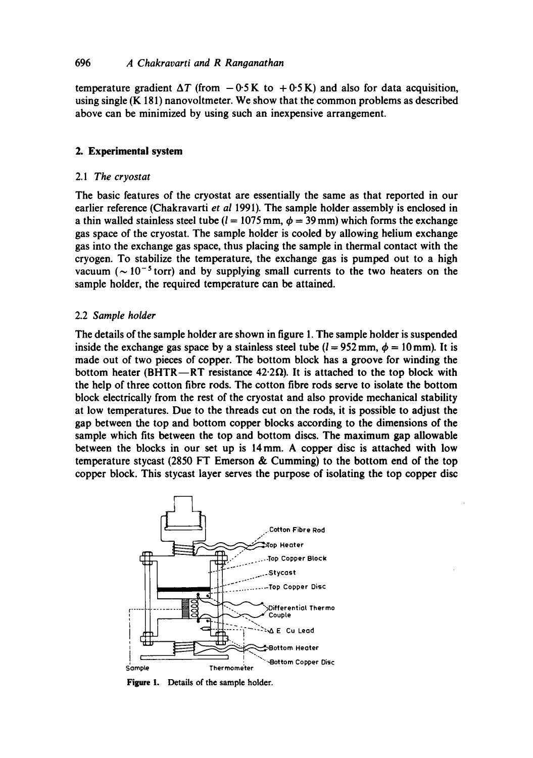## 696 *A Chakravarti and R Ranganathan*

temperature gradient  $\Delta T$  (from  $-0.5$  K to  $+0.5$  K) and also for data acquisition, using single (K 181) nanovoltmeter. We show that the common problems as described above can be minimized by using such an inexpensive arrangement.

# **2. Experimental system**

## 2.1 *The cryostat*

The basic features of the cryostat are essentially the same as that reported in our earlier reference (Chakravarti *et al* 1991). The sample holder assembly is enclosed in a thin walled stainless steel tube ( $l = 1075$  mm,  $\phi = 39$  mm) which forms the exchange gas space of the cryostat. The sample holder is cooled by allowing helium exchange gas into the exchange gas space, thus placing the sample in thermal contact with the cryogen. To stabilize the temperature, the exchange gas is pumped out to a high vacuum ( $\sim 10^{-5}$  torr) and by supplying small currents to the two heaters on the sample holder, the required temperature can be attained.

# 2.2 *Sample holder*

The details of the sample holder are shown in figure 1. The sample holder is suspended inside the exchange gas space by a stainless steel tube  $(l = 952 \text{ mm}, \phi = 10 \text{ mm})$ . It is made out of two pieces of copper. The bottom block has a groove for winding the bottom heater (BHTR--RT resistance 42.2 $\Omega$ ). It is attached to the top block with the help of three cotton fibre rods. The cotton fibre rods serve to isolate the bottom block electrically from the rest of the cryostat and also provide mechanical stability at low temperatures. Due to the threads cut on the rods, it is possible to adjust the gap between the top and bottom copper blocks according to the dimensions of the sample which fits between the top and bottom discs. The maximum gap allowable between the blocks in our set up is 14mm. A copper disc is attached with low temperature stycast (2850 FT Emerson & Cumming) to the bottom end of the top copper block. This stycast layer serves the purpose of isolating the top copper disc



Figure 1. Details of the sample holder.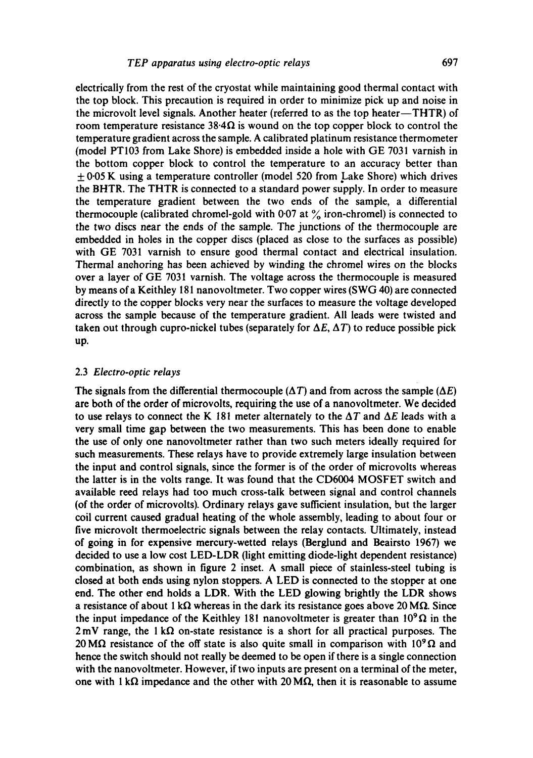electrically from the rest of the cryostat while maintaining good thermal contact with the top block. This precaution is required in order to minimize pick up and noise in the microvolt level signals. Another heater (referred to as the top heater-THTR) of room temperature resistance  $38.4\Omega$  is wound on the top copper block to control the temperature gradient across the sample. A calibrated platinum resistance thermometer (model PT103 from Lake Shore) is embedded inside a hole with GE 7031 varnish in the bottom copper block to control the temperature to an accuracy better than  $\pm$  0.05 K using a temperature controller (model 520 from Lake Shore) which drives the BHTR. The THTR is connected to a standard power supply. In order to measure the temperature gradient between the two ends of the sample, a differential thermocouple (calibrated chromel-gold with 0.07 at  $\%$  iron-chromel) is connected to the two discs near the ends of the sample. The junctions of the thermocouple are embedded in holes in the copper discs (placed as close to the surfaces as possible) with GE 7031 varnish to ensure good thermal contact and electrical insulation. Thermal anchoring has been achieved by winding the chromel wires on the blocks over a layer of GE 7031 varnish. The voltage across the thermocouple is measured by means ofa Keithley 181 nanovoltmeter. Two copper wires (SWG 40) are connected directly to the copper blocks very near the surfaces to measure the voltage developed across the sample because of the temperature gradient. All leads were twisted and taken out through cupro-nickel tubes (separately for  $\Delta E$ ,  $\Delta T$ ) to reduce possible pick up.

#### 2.3 *Electro-optic relays*

The signals from the differential thermocouple ( $\Delta T$ ) and from across the sample ( $\Delta E$ ) are both of the order of microvolts, requiring the use of a nanovoltmeter. We decided to use relays to connect the K 181 meter alternately to the  $\Delta T$  and  $\Delta E$  leads with a very small time gap between the two measurements. This has been done to enable the use of only one nanovoltmeter rather than two such meters ideally required for such measurements. These relays have to provide extremely large insulation between the input and control signals, since the former is of the order of microvolts whereas the latter is in the volts range. It was found that the CD6004 MOSFET switch and available reed relays had too much cross-talk between signal and control channels (of the order of microvolts). Ordinary relays gave sufficient insulation, but the larger coil current caused gradual heating of the whole assembly, leading to about four or five microvolt thermoelectric signals between the relay contacts. Ultimately, instead of going in for expensive mercury-wetted relays (Berglund and Beairsto 1967) we decided to use a low cost LED-LDR (light emitting diode-light dependent resistance) combination, as shown in figure 2 inset. A small piece of stainless-steel tubing is closed at both ends using nylon stoppers. A LED is connected to the stopper at one end. The other end holds a LDR. With the LED glowing brightly the LDR shows a resistance of about 1 k $\Omega$  whereas in the dark its resistance goes above 20 M $\Omega$ . Since the input impedance of the Keithley 181 nanovoltmeter is greater than  $10^{9} \Omega$  in the  $2 \text{ mV}$  range, the 1 k $\Omega$  on-state resistance is a short for all practical purposes. The 20 M $\Omega$  resistance of the off state is also quite small in comparison with 10<sup>9</sup> $\Omega$  and hence the switch should not really be deemed to be open if there is a single connection with the nanovoltmeter. However, if two inputs are present on a terminal of the meter, one with 1 k $\Omega$  impedance and the other with 20 M $\Omega$ , then it is reasonable to assume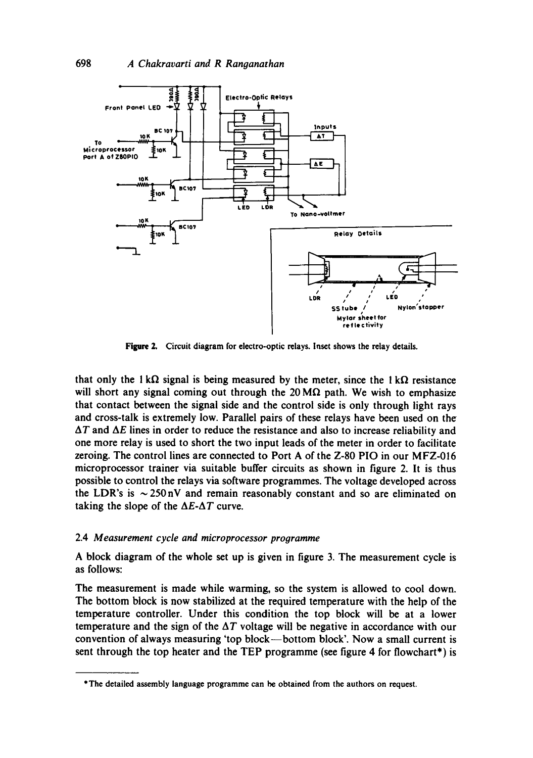

Figure 2. Circuit diagram for electro-optic relays. Inset shows the relay details.

that only the  $1 \text{ k}\Omega$  signal is being measured by the meter, since the  $1 \text{ k}\Omega$  resistance will short any signal coming out through the 20 M $\Omega$  path. We wish to emphasize that contact between the signal side and the control side is only through light rays and cross-talk is extremely low. Parallel pairs of these relays have been used on the  $\Delta T$  and  $\Delta E$  lines in order to reduce the resistance and also to increase reliability and one more relay is used to short the two input leads of the meter in order to facilitate zeroing. The control lines are connected to Port A of the Z-80 PIO in our MFZ-016 microprocessor trainer via suitable buffer circuits as shown in figure 2. It is thus possible to control the relays via software programmes. The voltage developed across the LDR's is  $\sim$  250 nV and remain reasonably constant and so are eliminated on taking the slope of the  $\Delta E \text{-} \Delta T$  curve.

### 2.4 *Measurement cycle and microprocessor prooramme*

A block diagram of the whole set up is given in figure 3. The measurement cycle is as follows:

The measurement is made while warming, so the system is allowed to cool down. The bottom block is now stabilized at the required temperature with the help of the temperature controller. Under this condition the top block will be at a lower temperature and the sign of the  $\Delta T$  voltage will be negative in accordance with our convention of always measuring 'top block--bottom block'. Now a small current is sent through the top heater and the TEP programme (see figure 4 for flowchart\*) is

<sup>\*</sup>The detailed assembly language programme can be obtained from the authors on request.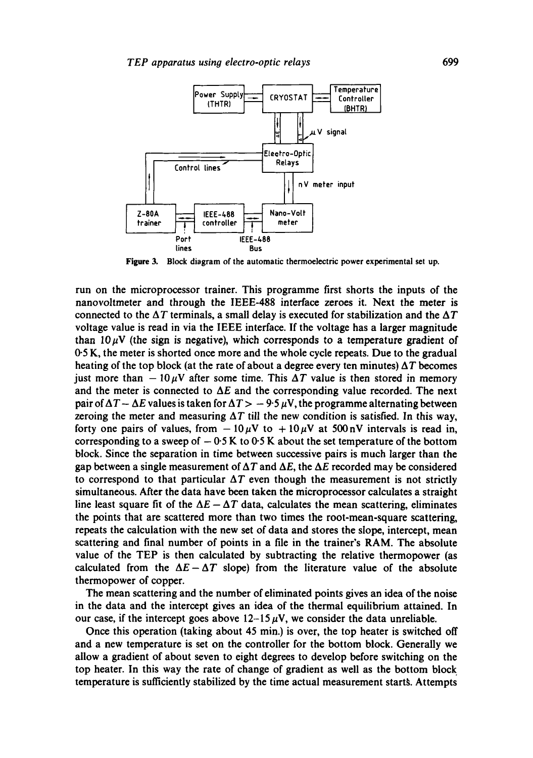

Figure 3. Block diagram of the automatic thermoelectric power experimental set up.

run on the microprocessor trainer. This programme first shorts the inputs of the nanovoltmeter and through the IEEE-488 interface zeroes it. Next the meter is connected to the  $\Delta T$  terminals, a small delay is executed for stabilization and the  $\Delta T$ voltage value is read in via the IEEE interface. If the voltage has a larger magnitude than  $10 \mu$ V (the sign is negative), which corresponds to a temperature gradient of 0.5 K, the meter is shorted once more and the whole cycle repeats. Due to the gradual heating of the top block (at the rate of about a degree every ten minutes)  $\Delta T$  becomes just more than  $-10 \mu V$  after some time. This  $\Delta T$  value is then stored in memory and the meter is connected to  $\Delta E$  and the corresponding value recorded. The next pair of  $\Delta T - \Delta E$  values is taken for  $\Delta T > -9.5 \mu V$ , the programme alternating between zeroing the meter and measuring  $\Delta T$  till the new condition is satisfied. In this way, forty one pairs of values, from  $-10 \mu V$  to  $+10 \mu V$  at 500 nV intervals is read in, corresponding to a sweep of  $-0.5 K$  to 0.5 K about the set temperature of the bottom block. Since the separation in time between successive pairs is much larger than the gap between a single measurement of  $\Delta T$  and  $\Delta E$ , the  $\Delta E$  recorded may be considered to correspond to that particular  $\Delta T$  even though the measurement is not strictly simultaneous. After the data have been taken the microprocessor calculates a straight line least square fit of the  $\Delta E - \Delta T$  data, calculates the mean scattering, eliminates the points that are scattered more than two times the root-mean-square scattering, repeats the calculation with the new set of data and stores the slope, intercept, mean scattering and final number of points in a file in the trainer's RAM. The absolute value of the TEP is then calculated by subtracting the relative thermopower (as calculated from the  $\Delta E - \Delta T$  slope) from the literature value of the absolute thermopower of copper.

The mean scattering and the number of eliminated points gives an idea of the noise in the data and the intercept gives an idea of the thermal equilibrium attained. In our case, if the intercept goes above  $12-15 \mu V$ , we consider the data unreliable.

Once this operation (taking about 45 min.) is over, the top heater is switched off and a new temperature is set on the controller for the bottom block. Generally we allow a gradient of about seven to eight degrees to develop before switching on the top heater. In this way the rate of change of gradient as well as the bottom block temperature is sufficiently stabilized by the time actual measurement startS. Attempts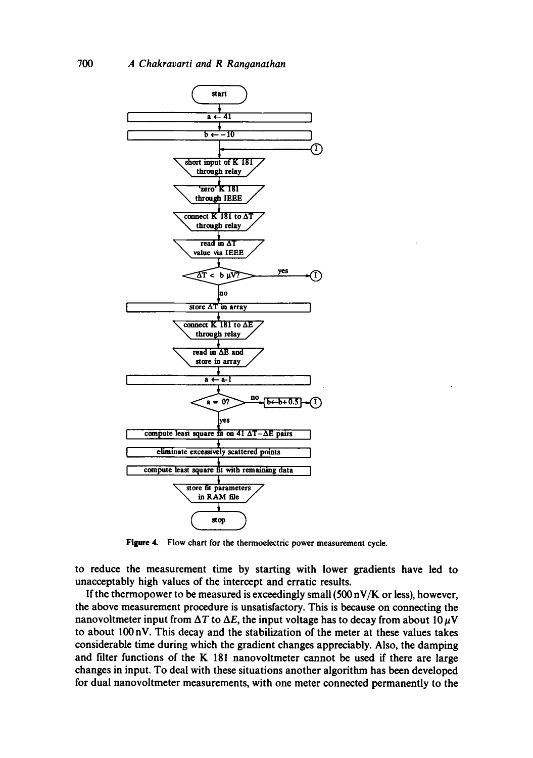

Figure 4. Flow chart for the thermoelectric power measurement cycle.

to reduce the measurement time by starting with lower gradients have led to unacceptably high values of the intercept and erratic results.

If the thermopower to be measured is exceedingly small  $(500 \text{ nV/K} \text{ or less})$ , however, the above measurement procedure is unsatisfactory. This is because on connecting the nanovoltmeter input from  $\Delta T$  to  $\Delta E$ , the input voltage has to decay from about 10  $\mu$ V to about 100 nV. This decay and the stabilization of the meter at these values takes considerable time during which the gradient changes appreciably. Also, the damping and filter functions of the K 181 nanovoltmeter cannot be used if there are large changes in input. To deal with these situations another algorithm has been developed for dual nanovoltmeter measurements, with one meter connected permanently to the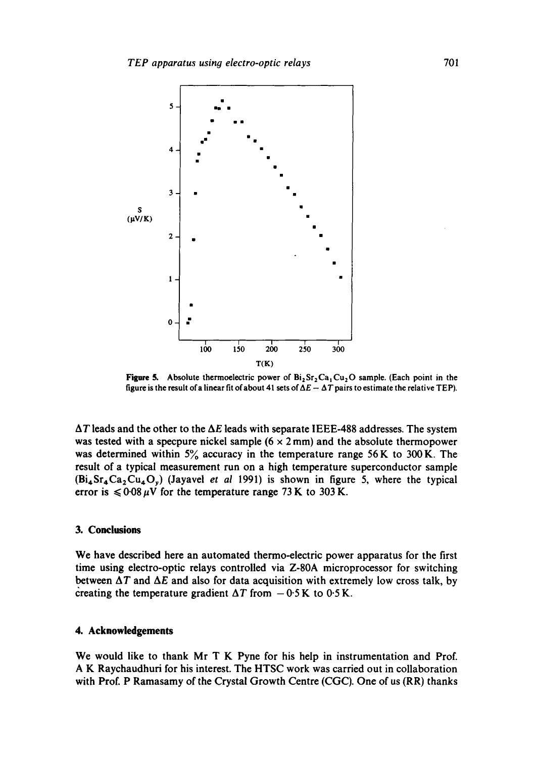

**Figure 5.** Absolute thermoelectric power of  $Bi_2Sr_2Ca_1Cu_2O$  sample. (Each point in the figure is the result of a linear fit of about 41 sets of  $\Delta E - \Delta T$  pairs to estimate the relative TEP).

**AT leads and the other to the AE leads with separate IEEE-488 addresses. The system**  was tested with a specpure nickel sample (6 x 2 mm) and the absolute thermopower was determined within 5% accuracy in the temperature range 56 K to 300 K. The **result of a typical measurement run on a high temperature superconductor sample (Bi4Sr4Ca2Cu4Oy) (Jayavel** *et al* **1991) is shown in figure 5, where the typical**  error is  $\leq 0.08 \mu V$  for the temperature range 73 K to 303 K.

### **3. Conclusions**

**We have described here an automated thermo-electric power apparatus for the first time using electro-optic relays controlled via Z-80A microprocessor for switching**  between  $\Delta T$  and  $\Delta E$  and also for data acquisition with extremely low cross talk, by creating the temperature gradient  $\Delta T$  from  $-0.5$  K to 0.5 K.

# **4. Acknowledgements**

**We would like to thank Mr T K Pyne for his help in instrumentation and Prof. A K Raychaudhuri for his interest. The HTSC work was carried out in collaboration with Prof. P Ramasamy of the Crystal Growth Centre (CGC). One of us (RR) thanks**